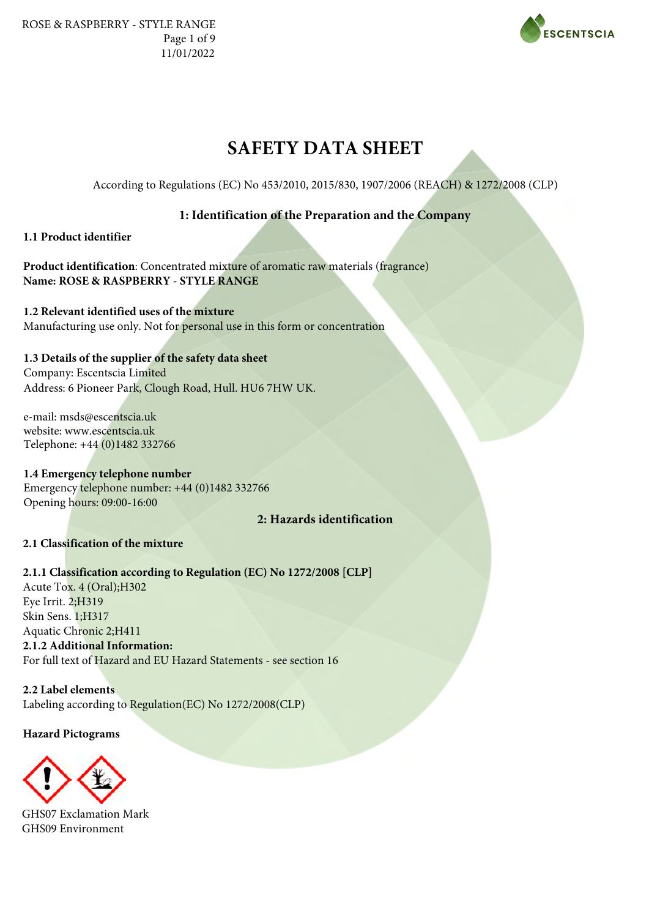ROSE & RASPBERRY - STYLE RANGE Page 1 of 9 11/01/2022



# **SAFETY DATA SHEET**

According to Regulations (EC) No 453/2010, 2015/830, 1907/2006 (REACH) & 1272/2008 (CLP)

# **1: Identification of the Preparation and the Company**

# **1.1 Product identifier**

**Product identification**: Concentrated mixture of aromatic raw materials (fragrance) **Name: ROSE & RASPBERRY - STYLE RANGE**

**1.2 Relevant identified uses of the mixture** Manufacturing use only. Not for personal use in this form or concentration

# **1.3 Details of the supplier of the safety data sheet**

Company: Escentscia Limited Address: 6 Pioneer Park, Clough Road, Hull. HU6 7HW UK.

e-mail: msds@escentscia.uk website: www.escentscia.uk Telephone: +44 (0)1482 332766

**1.4 Emergency telephone number** Emergency telephone number: +44 (0)1482 332766 Opening hours: 09:00-16:00

# **2: Hazards identification**

# **2.1 Classification of the mixture**

**2.1.1 Classification according to Regulation (EC) No 1272/2008 [CLP]**  Acute Tox. 4 (Oral);H302 Eye Irrit. 2;H319 Skin Sens. 1;H317 Aquatic Chronic 2;H411 **2.1.2 Additional Information:** For full text of Hazard and EU Hazard Statements - see section 16

**2.2 Label elements** Labeling according to Regulation(EC) No 1272/2008(CLP)

**Hazard Pictograms**



GHS07 Exclamation Mark GHS09 Environment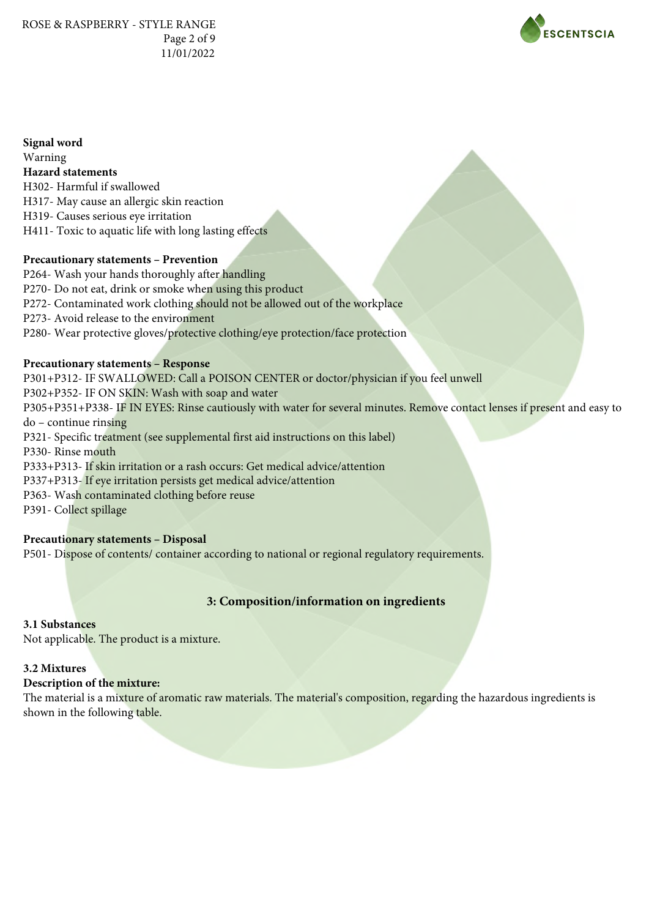ROSE & RASPBERRY - STYLE RANGE Page 2 of 9 11/01/2022



**Signal word** Warning **Hazard statements** H302- Harmful if swallowed H317- May cause an allergic skin reaction H319- Causes serious eye irritation H411- Toxic to aquatic life with long lasting effects

### **Precautionary statements – Prevention**

P264- Wash your hands thoroughly after handling P270- Do not eat, drink or smoke when using this product P272- Contaminated work clothing should not be allowed out of the workplace P273- Avoid release to the environment P280- Wear protective gloves/protective clothing/eye protection/face protection

# **Precautionary statements – Response**

P301+P312- IF SWALLOWED: Call a POISON CENTER or doctor/physician if you feel unwell P302+P352- IF ON SKIN: Wash with soap and water P305+P351+P338- IF IN EYES: Rinse cautiously with water for several minutes. Remove contact lenses if present and easy to do – continue rinsing P321- Specific treatment (see supplemental first aid instructions on this label) P330- Rinse mouth P333+P313- If skin irritation or a rash occurs: Get medical advice/attention P337+P313- If eye irritation persists get medical advice/attention P363- Wash contaminated clothing before reuse P391- Collect spillage

### **Precautionary statements – Disposal**

P501- Dispose of contents/ container according to national or regional regulatory requirements.

# **3: Composition/information on ingredients**

#### **3.1 Substances**

Not applicable. The product is a mixture.

# **3.2 Mixtures**

# **Description of the mixture:**

The material is a mixture of aromatic raw materials. The material's composition, regarding the hazardous ingredients is shown in the following table.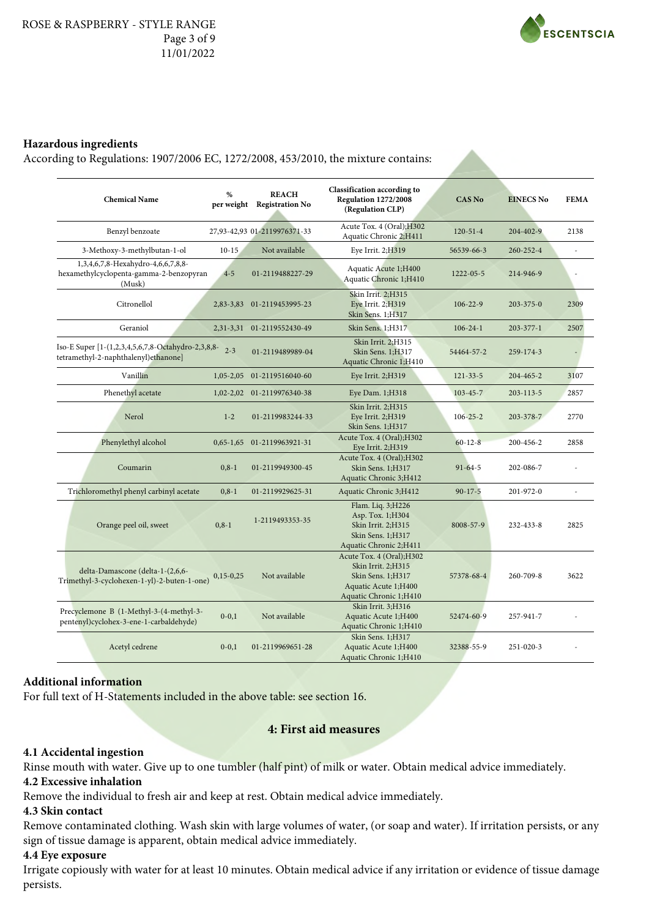

#### **Hazardous ingredients**

According to Regulations: 1907/2006 ΕC, 1272/2008, 453/2010, the mixture contains:

| <b>Chemical Name</b>                                                                       | $\frac{9}{6}$ | <b>REACH</b><br>per weight Registration No | <b>Classification according to</b><br>Regulation 1272/2008<br>(Regulation CLP)                                          | <b>CAS No</b>   | <b>EINECS No</b> | <b>FEMA</b> |
|--------------------------------------------------------------------------------------------|---------------|--------------------------------------------|-------------------------------------------------------------------------------------------------------------------------|-----------------|------------------|-------------|
| Benzyl benzoate                                                                            |               | 27,93-42,93 01-2119976371-33               | Acute Tox. 4 (Oral); H302<br>Aquatic Chronic 2;H411                                                                     | $120 - 51 - 4$  | 204-402-9        | 2138        |
| 3-Methoxy-3-methylbutan-1-ol                                                               | $10-15$       | Not available                              | Eye Irrit. 2;H319                                                                                                       | 56539-66-3      | 260-252-4        |             |
| 1,3,4,6,7,8-Hexahydro-4,6,6,7,8,8-<br>hexamethylcyclopenta-gamma-2-benzopyran<br>(Musk)    | $4 - 5$       | 01-2119488227-29                           | Aquatic Acute 1;H400<br>Aquatic Chronic 1;H410                                                                          | $1222 - 05 - 5$ | 214-946-9        |             |
| Citronellol                                                                                | 2,83-3,83     | 01-2119453995-23                           | Skin Irrit. 2;H315<br>Eye Irrit. 2;H319<br>Skin Sens. 1;H317                                                            | $106 - 22 - 9$  | $203 - 375 - 0$  | 2309        |
| Geraniol                                                                                   |               | 2,31-3,31 01-2119552430-49                 | Skin Sens. 1:H317                                                                                                       | $106 - 24 - 1$  | $203 - 377 - 1$  | 2507        |
| Iso-E Super [1-(1,2,3,4,5,6,7,8-Octahydro-2,3,8,8-<br>tetramethyl-2-naphthalenyl)ethanone] | $2 - 3$       | 01-2119489989-04                           | Skin Irrit. 2;H315<br>Skin Sens. 1;H317<br>Aquatic Chronic 1;H410                                                       | 54464-57-2      | 259-174-3        |             |
| Vanillin                                                                                   | $1,05 - 2,05$ | 01-2119516040-60                           | Eye Irrit. 2;H319                                                                                                       | $121 - 33 - 5$  | $204 - 465 - 2$  | 3107        |
| Phenethyl acetate                                                                          |               | 1,02-2,02 01-2119976340-38                 | Eye Dam. 1;H318                                                                                                         | $103 - 45 - 7$  | $203 - 113 - 5$  | 2857        |
| Nerol                                                                                      | $1 - 2$       | 01-2119983244-33                           | Skin Irrit. 2;H315<br>Eye Irrit. 2;H319<br>Skin Sens. 1;H317                                                            | $106 - 25 - 2$  | 203-378-7        | 2770        |
| Phenylethyl alcohol                                                                        |               | 0,65-1,65 01-2119963921-31                 | Acute Tox. 4 (Oral); H302<br>Eye Irrit. 2;H319                                                                          | $60 - 12 - 8$   | 200-456-2        | 2858        |
| Coumarin                                                                                   | $0.8 - 1$     | 01-2119949300-45                           | Acute Tox. 4 (Oral); H302<br>Skin Sens. 1:H317<br>Aquatic Chronic 3;H412                                                | $91-64-5$       | 202-086-7        |             |
| Trichloromethyl phenyl carbinyl acetate                                                    | $0, 8 - 1$    | 01-2119929625-31                           | Aquatic Chronic 3;H412                                                                                                  | $90 - 17 - 5$   | 201-972-0        | ÷,          |
| Orange peel oil, sweet                                                                     | $0, 8 - 1$    | 1-2119493353-35                            | Flam. Liq. 3;H226<br>Asp. Tox. 1; H304<br>Skin Irrit. 2;H315<br>Skin Sens. 1;H317<br>Aquatic Chronic 2;H411             | 8008-57-9       | 232-433-8        | 2825        |
| delta-Damascone (delta-1-(2,6,6-<br>Trimethyl-3-cyclohexen-1-yl)-2-buten-1-one)            | $0,15-0,25$   | Not available                              | Acute Tox. 4 (Oral); H302<br>Skin Irrit. 2;H315<br>Skin Sens. 1; H317<br>Aquatic Acute 1;H400<br>Aquatic Chronic 1;H410 | 57378-68-4      | 260-709-8        | 3622        |
| Precyclemone B (1-Methyl-3-(4-methyl-3-<br>pentenyl)cyclohex-3-ene-1-carbaldehyde)         | $0 - 0, 1$    | Not available                              | Skin Irrit. 3;H316<br>Aquatic Acute 1;H400<br>Aquatic Chronic 1;H410                                                    | 52474-60-9      | 257-941-7        |             |
| Acetyl cedrene                                                                             | $0 - 0, 1$    | 01-2119969651-28                           | Skin Sens. 1;H317<br>Aquatic Acute 1;H400<br>Aquatic Chronic 1;H410                                                     | 32388-55-9      | 251-020-3        |             |

#### **Additional information**

For full text of H-Statements included in the above table: see section 16.

#### **4: First aid measures**

#### **4.1 Accidental ingestion**

Rinse mouth with water. Give up to one tumbler (half pint) of milk or water. Obtain medical advice immediately.

# **4.2 Excessive inhalation**

Remove the individual to fresh air and keep at rest. Obtain medical advice immediately.

#### **4.3 Skin contact**

Remove contaminated clothing. Wash skin with large volumes of water, (or soap and water). If irritation persists, or any sign of tissue damage is apparent, obtain medical advice immediately.

# **4.4 Eye exposure**

Irrigate copiously with water for at least 10 minutes. Obtain medical advice if any irritation or evidence of tissue damage persists.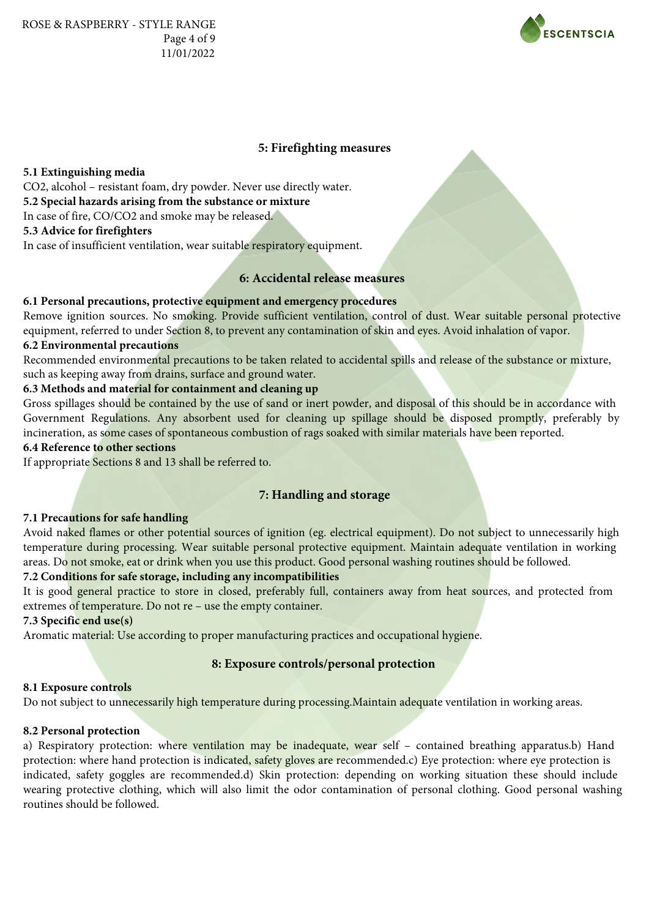

### **5: Firefighting measures**

#### **5.1 Extinguishing media**

CO2, alcohol – resistant foam, dry powder. Never use directly water.

**5.2 Special hazards arising from the substance or mixture**

In case of fire, CO/CO2 and smoke may be released.

# **5.3 Advice for firefighters**

In case of insufficient ventilation, wear suitable respiratory equipment.

# **6: Accidental release measures**

### **6.1 Personal precautions, protective equipment and emergency procedures**

Remove ignition sources. No smoking. Provide sufficient ventilation, control of dust. Wear suitable personal protective equipment, referred to under Section 8, to prevent any contamination of skin and eyes. Avoid inhalation of vapor.

# **6.2 Environmental precautions**

Recommended environmental precautions to be taken related to accidental spills and release of the substance or mixture, such as keeping away from drains, surface and ground water.

### **6.3 Methods and material for containment and cleaning up**

Gross spillages should be contained by the use of sand or inert powder, and disposal of this should be in accordance with Government Regulations. Any absorbent used for cleaning up spillage should be disposed promptly, preferably by incineration, as some cases of spontaneous combustion of rags soaked with similar materials have been reported.

# **6.4 Reference to other sections**

If appropriate Sections 8 and 13 shall be referred to.

# **7: Handling and storage**

#### **7.1 Precautions for safe handling**

Avoid naked flames or other potential sources of ignition (eg. electrical equipment). Do not subject to unnecessarily high temperature during processing. Wear suitable personal protective equipment. Maintain adequate ventilation in working areas. Do not smoke, eat or drink when you use this product. Good personal washing routines should be followed.

### **7.2 Conditions for safe storage, including any incompatibilities**

It is good general practice to store in closed, preferably full, containers away from heat sources, and protected from extremes of temperature. Do not re – use the empty container.

#### **7.3 Specific end use(s)**

Aromatic material: Use according to proper manufacturing practices and occupational hygiene.

# **8: Exposure controls/personal protection**

#### **8.1 Exposure controls**

Do not subject to unnecessarily high temperature during processing.Maintain adequate ventilation in working areas.

#### **8.2 Personal protection**

a) Respiratory protection: where ventilation may be inadequate, wear self - contained breathing apparatus.b) Hand protection: where hand protection is indicated, safety gloves are recommended.c) Eye protection: where eye protection is indicated, safety goggles are recommended.d) Skin protection: depending on working situation these should include wearing protective clothing, which will also limit the odor contamination of personal clothing. Good personal washing routines should be followed.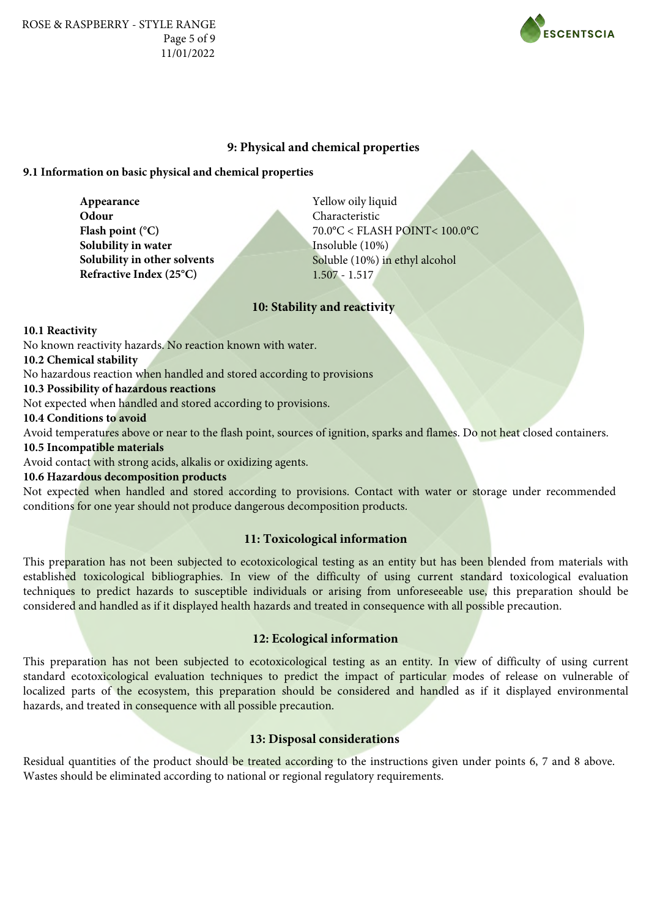

# **9: Physical and chemical properties**

# **9.1 Information on basic physical and chemical properties**

**Appearance Odour Flash point (°C) Solubility in water Solubility in other solvents Refractive Index (25°C)**

Yellow oily liquid Characteristic 70.0°C < FLASH POINT< 100.0°C Insoluble (10%) Soluble (10%) in ethyl alcohol 1.507 - 1.517

### **10: Stability and reactivity**

**10.1 Reactivity**

No known reactivity hazards. No reaction known with water.

**10.2 Chemical stability**

No hazardous reaction when handled and stored according to provisions

#### **10.3 Possibility of hazardous reactions**

Not expected when handled and stored according to provisions.

### **10.4 Conditions to avoid**

Avoid temperatures above or near to the flash point, sources of ignition, sparks and flames. Do not heat closed containers.

# **10.5 Incompatible materials**

Avoid contact with strong acids, alkalis or oxidizing agents.

# **10.6 Hazardous decomposition products**

Not expected when handled and stored according to provisions. Contact with water or storage under recommended conditions for one year should not produce dangerous decomposition products.

# **11: Toxicological information**

This preparation has not been subjected to ecotoxicological testing as an entity but has been blended from materials with established toxicological bibliographies. In view of the difficulty of using current standard toxicological evaluation techniques to predict hazards to susceptible individuals or arising from unforeseeable use, this preparation should be considered and handled as if it displayed health hazards and treated in consequence with all possible precaution.

### **12: Ecological information**

This preparation has not been subjected to ecotoxicological testing as an entity. In view of difficulty of using current standard ecotoxicological evaluation techniques to predict the impact of particular modes of release on vulnerable of localized parts of the ecosystem, this preparation should be considered and handled as if it displayed environmental hazards, and treated in consequence with all possible precaution.

### **13: Disposal considerations**

Residual quantities of the product should be treated according to the instructions given under points 6, 7 and 8 above. Wastes should be eliminated according to national or regional regulatory requirements.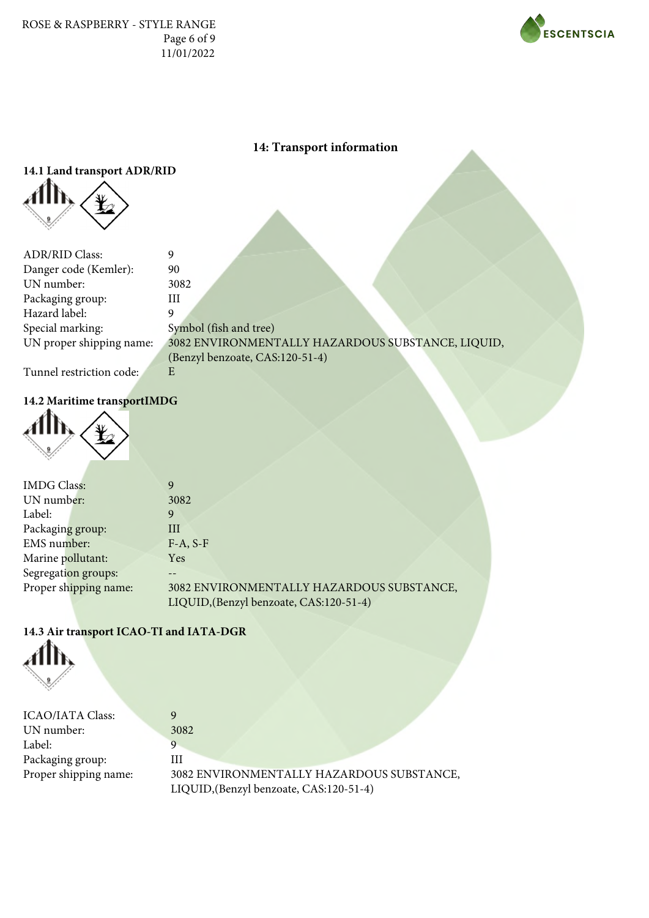ROSE & RASPBERRY - STYLE RANGE Page 6 of 9 11/01/2022



# **14: Transport information**

# **14.1 Land transport ADR/RID**



| <b>ADR/RID Class:</b>    | 9                                                 |
|--------------------------|---------------------------------------------------|
| Danger code (Kemler):    | 90                                                |
| UN number:               | 3082                                              |
| Packaging group:         | Ш                                                 |
| Hazard label:            |                                                   |
| Special marking:         | Symbol (fish and tree)                            |
| UN proper shipping name: | 3082 ENVIRONMENTALLY HAZARDOUS SUBSTANCE, LIQUID, |
|                          | (Benzyl benzoate, CAS:120-51-4)                   |
| Tunnel restriction code: | E                                                 |

# Tunnel restriction code:

# **14.2 Maritime transportIMDG**



| <b>IMDG</b> Class:    | 9                                         |
|-----------------------|-------------------------------------------|
| UN number:            | 3082                                      |
| Label:                | 9                                         |
| Packaging group:      | Ш                                         |
| EMS number:           | $F-A, S-F$                                |
| Marine pollutant:     | Yes                                       |
| Segregation groups:   |                                           |
| Proper shipping name: | 3082 ENVIRONMENTALLY HAZARDOUS SUBSTANCE, |
|                       | LIQUID, (Benzyl benzoate, CAS:120-51-4)   |

# **14.3 Air transport ICAO-TI and IATA-DGR**



| 3082                                      |
|-------------------------------------------|
|                                           |
| ПI                                        |
| 3082 ENVIRONMENTALLY HAZARDOUS SUBSTANCE, |
| LIQUID, (Benzyl benzoate, CAS:120-51-4)   |
|                                           |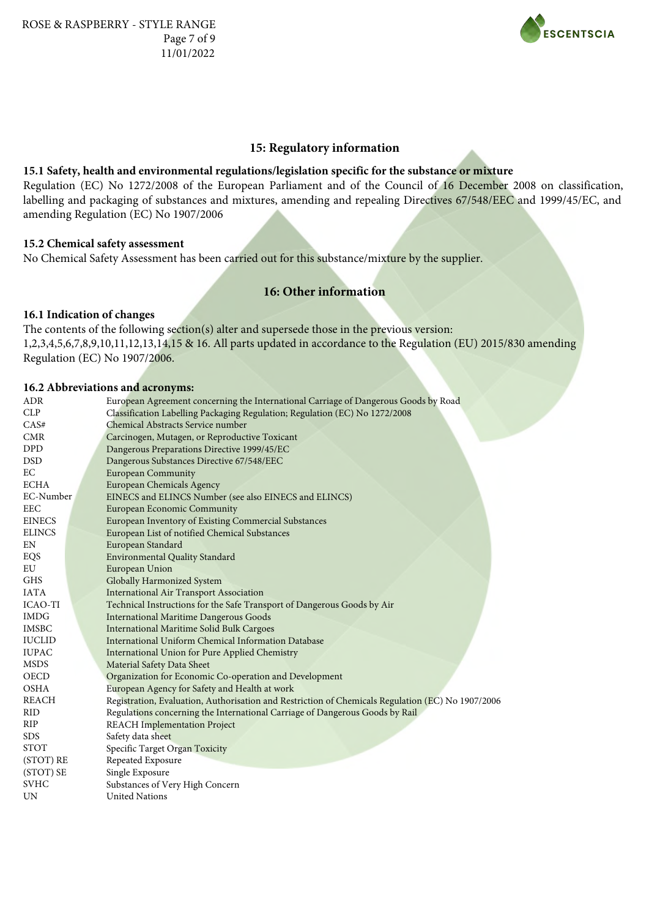

#### **15: Regulatory information**

#### **15.1 Safety, health and environmental regulations/legislation specific for the substance or mixture**

Regulation (EC) No 1272/2008 of the European Parliament and of the Council of 16 December 2008 on classification, labelling and packaging of substances and mixtures, amending and repealing Directives 67/548/EEC and 1999/45/EC, and amending Regulation (EC) No 1907/2006

#### **15.2 Chemical safety assessment**

No Chemical Safety Assessment has been carried out for this substance/mixture by the supplier.

# **16: Other information**

#### **16.1 Indication of changes**

The contents of the following section(s) alter and supersede those in the previous version: 1,2,3,4,5,6,7,8,9,10,11,12,13,14,15 & 16. All parts updated in accordance to the Regulation (EU) 2015/830 amending Regulation (EC) No 1907/2006.

### **16.2 Abbreviations and acronyms:**

| <b>ADR</b>     | European Agreement concerning the International Carriage of Dangerous Goods by Road               |
|----------------|---------------------------------------------------------------------------------------------------|
| CLP            | Classification Labelling Packaging Regulation; Regulation (EC) No 1272/2008                       |
| CAS#           | Chemical Abstracts Service number                                                                 |
| <b>CMR</b>     | Carcinogen, Mutagen, or Reproductive Toxicant                                                     |
| DPD            | Dangerous Preparations Directive 1999/45/EC                                                       |
| <b>DSD</b>     | Dangerous Substances Directive 67/548/EEC                                                         |
| EC             | <b>European Community</b>                                                                         |
| <b>ECHA</b>    | <b>European Chemicals Agency</b>                                                                  |
| EC-Number      | EINECS and ELINCS Number (see also EINECS and ELINCS)                                             |
| <b>EEC</b>     | <b>European Economic Community</b>                                                                |
| <b>EINECS</b>  | European Inventory of Existing Commercial Substances                                              |
| <b>ELINCS</b>  | European List of notified Chemical Substances                                                     |
| EN             | European Standard                                                                                 |
| EQS            | <b>Environmental Quality Standard</b>                                                             |
| EU             | European Union                                                                                    |
| <b>GHS</b>     | Globally Harmonized System                                                                        |
| <b>IATA</b>    | <b>International Air Transport Association</b>                                                    |
| <b>ICAO-TI</b> | Technical Instructions for the Safe Transport of Dangerous Goods by Air                           |
| <b>IMDG</b>    | <b>International Maritime Dangerous Goods</b>                                                     |
| <b>IMSBC</b>   | <b>International Maritime Solid Bulk Cargoes</b>                                                  |
| <b>IUCLID</b>  | International Uniform Chemical Information Database                                               |
| <b>IUPAC</b>   | International Union for Pure Applied Chemistry                                                    |
| <b>MSDS</b>    | Material Safety Data Sheet                                                                        |
| <b>OECD</b>    | Organization for Economic Co-operation and Development                                            |
| <b>OSHA</b>    | European Agency for Safety and Health at work                                                     |
| <b>REACH</b>   | Registration, Evaluation, Authorisation and Restriction of Chemicals Regulation (EC) No 1907/2006 |
| <b>RID</b>     | Regulations concerning the International Carriage of Dangerous Goods by Rail                      |
| <b>RIP</b>     | <b>REACH</b> Implementation Project                                                               |
| <b>SDS</b>     | Safety data sheet                                                                                 |
| <b>STOT</b>    | Specific Target Organ Toxicity                                                                    |
| (STOT) RE      | Repeated Exposure                                                                                 |
| (STOT) SE      | Single Exposure                                                                                   |
| <b>SVHC</b>    | Substances of Very High Concern                                                                   |
| <b>UN</b>      | <b>United Nations</b>                                                                             |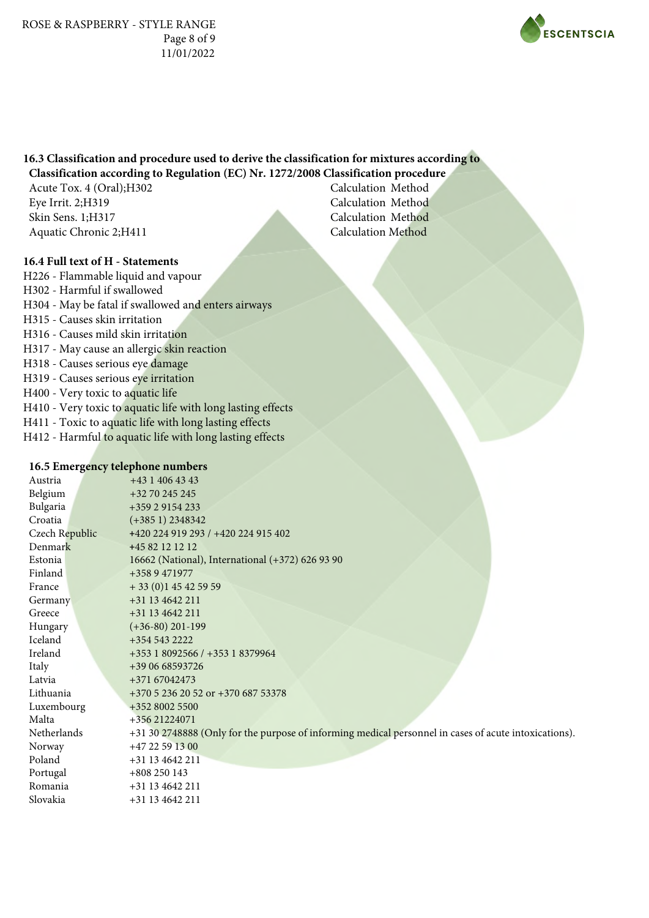

#### **16.3 Classification and procedure used to derive the classification for mixtures according to Classification according to Regulation (EC) Nr. 1272/2008 Classification procedure**

Acute Tox. 4 (Oral);H302 Eye Irrit. 2;H319 Skin Sens. 1;H317 Aquatic Chronic 2;H411

Calculation Method Calculation Method Calculation Method Calculation Method

# **16.4 Full text of H - Statements**

H226 - Flammable liquid and vapour H302 - Harmful if swallowed H304 - May be fatal if swallowed and enters airways H315 - Causes skin irritation H316 - Causes mild skin irritation H317 - May cause an allergic skin reaction H318 - Causes serious eye damage H319 - Causes serious eye irritation H400 - Very toxic to aquatic life H410 - Very toxic to aquatic life with long lasting effects H411 - Toxic to aquatic life with long lasting effects H412 - Harmful to aquatic life with long lasting effects

### **16.5 Emergency telephone numbers**

| Austria        | $+4314064343$                                                                                         |
|----------------|-------------------------------------------------------------------------------------------------------|
| Belgium        | +32 70 245 245                                                                                        |
| Bulgaria       | +359 2 9154 233                                                                                       |
| Croatia        | $(+3851)$ 2348342                                                                                     |
| Czech Republic | +420 224 919 293 / +420 224 915 402                                                                   |
| Denmark        | +45 82 12 12 12                                                                                       |
| Estonia        | 16662 (National), International (+372) 626 93 90                                                      |
| Finland        | +358 9 471977                                                                                         |
| France         | $+33(0)145425959$                                                                                     |
| Germany        | +31 13 4642 211                                                                                       |
| Greece         | +31 13 4642 211                                                                                       |
| Hungary        | $(+36-80)$ 201-199                                                                                    |
| Iceland        | +354 543 2222                                                                                         |
| Ireland        | +353 1 8092566 / +353 1 8379964                                                                       |
| Italy          | +39 06 68593726                                                                                       |
| Latvia         | +371 67042473                                                                                         |
| Lithuania      | +370 5 236 20 52 or +370 687 53378                                                                    |
| Luxembourg     | +352 8002 5500                                                                                        |
| Malta          | +356 21224071                                                                                         |
| Netherlands    | +31 30 2748888 (Only for the purpose of informing medical personnel in cases of acute intoxications). |
| Norway         | $+4722591300$                                                                                         |
| Poland         | +31 13 4642 211                                                                                       |
| Portugal       | $+808250143$                                                                                          |
| Romania        | +31 13 4642 211                                                                                       |
| Slovakia       | +31 13 4642 211                                                                                       |